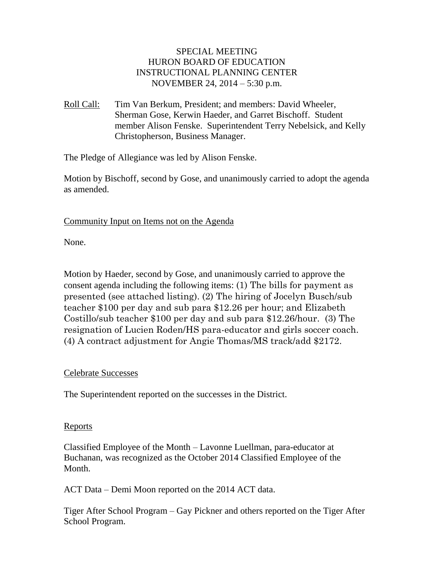### SPECIAL MEETING HURON BOARD OF EDUCATION INSTRUCTIONAL PLANNING CENTER NOVEMBER 24, 2014 – 5:30 p.m.

Roll Call: Tim Van Berkum, President; and members: David Wheeler, Sherman Gose, Kerwin Haeder, and Garret Bischoff. Student member Alison Fenske. Superintendent Terry Nebelsick, and Kelly Christopherson, Business Manager.

The Pledge of Allegiance was led by Alison Fenske.

Motion by Bischoff, second by Gose, and unanimously carried to adopt the agenda as amended.

Community Input on Items not on the Agenda

None.

Motion by Haeder, second by Gose, and unanimously carried to approve the consent agenda including the following items: (1) The bills for payment as presented (see attached listing). (2) The hiring of Jocelyn Busch/sub teacher \$100 per day and sub para \$12.26 per hour; and Elizabeth Costillo/sub teacher \$100 per day and sub para \$12.26/hour. (3) The resignation of Lucien Roden/HS para-educator and girls soccer coach. (4) A contract adjustment for Angie Thomas/MS track/add \$2172.

### Celebrate Successes

The Superintendent reported on the successes in the District.

### Reports

Classified Employee of the Month – Lavonne Luellman, para-educator at Buchanan, was recognized as the October 2014 Classified Employee of the Month.

ACT Data – Demi Moon reported on the 2014 ACT data.

Tiger After School Program – Gay Pickner and others reported on the Tiger After School Program.